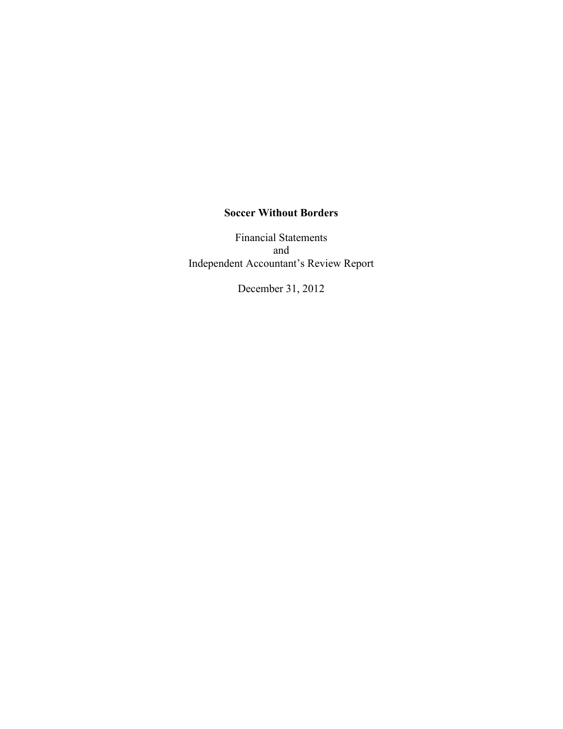# **Soccer Without Borders**

Financial Statements and Independent Accountant's Review Report

December 31, 2012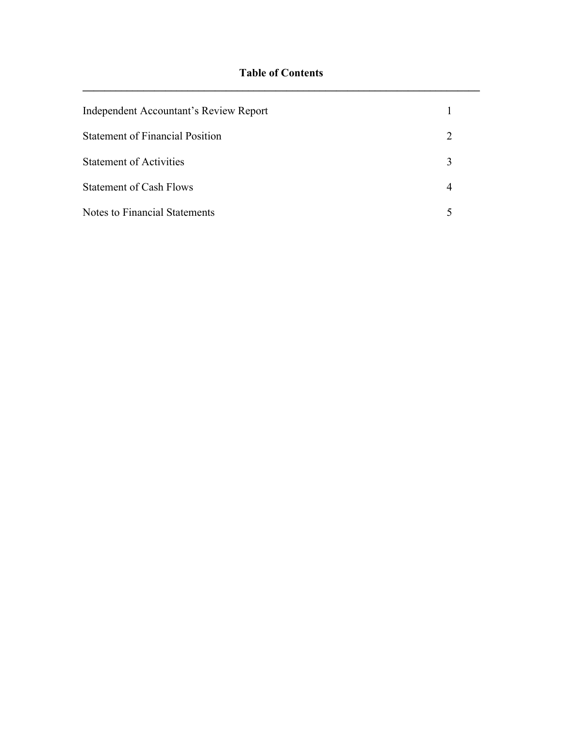| <b>Independent Accountant's Review Report</b> |                             |  |
|-----------------------------------------------|-----------------------------|--|
| <b>Statement of Financial Position</b>        | $\mathcal{D}_{\mathcal{L}}$ |  |
| <b>Statement of Activities</b>                | 3                           |  |
| <b>Statement of Cash Flows</b>                |                             |  |
| <b>Notes to Financial Statements</b>          |                             |  |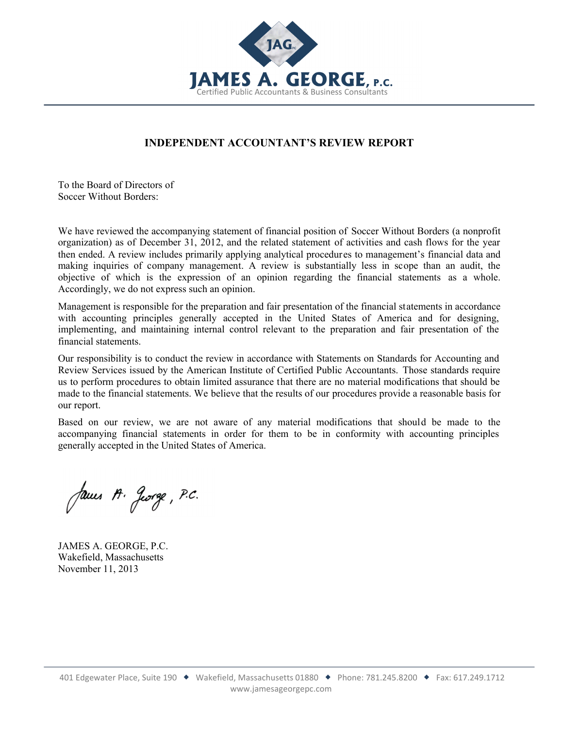

# **INDEPENDENT ACCOUNTANT'S REVIEW REPORT**

j

To the Board of Directors of Soccer Without Borders:

We have reviewed the accompanying statement of financial position of Soccer Without Borders (a nonprofit organization) as of December 31, 2012, and the related statement of activities and cash flows for the year then ended. A review includes primarily applying analytical procedures to management's financial data and making inquiries of company management. A review is substantially less in scope than an audit, the objective of which is the expression of an opinion regarding the financial statements as a whole. Accordingly, we do not express such an opinion.

Management is responsible for the preparation and fair presentation of the financial statements in accordance with accounting principles generally accepted in the United States of America and for designing, implementing, and maintaining internal control relevant to the preparation and fair presentation of the financial statements.

Our responsibility is to conduct the review in accordance with Statements on Standards for Accounting and Review Services issued by the American Institute of Certified Public Accountants. Those standards require us to perform procedures to obtain limited assurance that there are no material modifications that should be made to the financial statements. We believe that the results of our procedures provide a reasonable basis for our report.

Based on our review, we are not aware of any material modifications that should be made to the accompanying financial statements in order for them to be in conformity with accounting principles generally accepted in the United States of America.

James A. Jorge, P.C.

JAMES A. GEORGE, P.C. Wakefield, Massachusetts November 11, 2013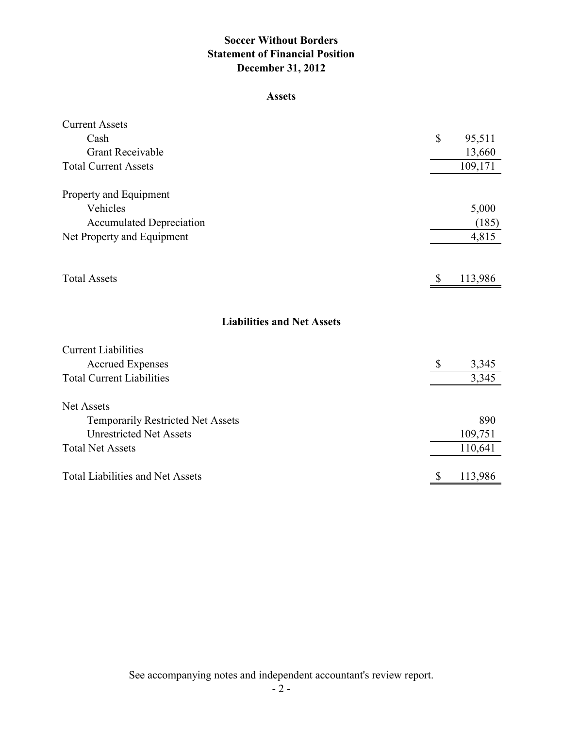# **Soccer Without Borders Statement of Financial Position December 31, 2012**

#### **Assets**

| \$                        | 95,511  |
|---------------------------|---------|
|                           | 13,660  |
|                           | 109,171 |
|                           |         |
|                           |         |
|                           | 5,000   |
|                           | (185)   |
|                           | 4,815   |
|                           |         |
| <sup>\$</sup>             | 113,986 |
|                           |         |
|                           |         |
|                           |         |
|                           |         |
| $\boldsymbol{\mathsf{S}}$ | 3,345   |
|                           | 3,345   |
|                           |         |
|                           |         |
|                           | 890     |
|                           | 109,751 |
|                           | 110,641 |
| $\boldsymbol{\mathsf{S}}$ | 113,986 |
|                           |         |

See accompanying notes and independent accountant's review report.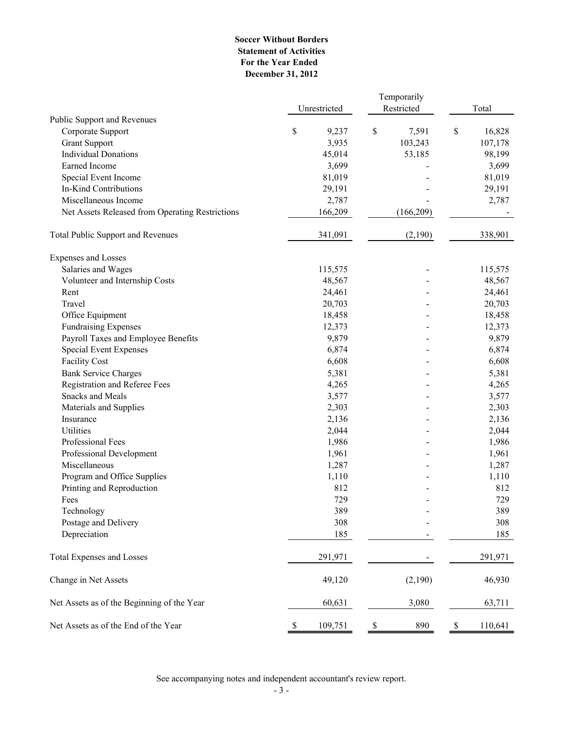#### **Soccer Without Borders Statement of Activities December 31, 2012 For the Year Ended**

|                                                                    | Unrestricted    | Temporarily<br>Restricted | Total           |  |
|--------------------------------------------------------------------|-----------------|---------------------------|-----------------|--|
| Public Support and Revenues                                        |                 |                           |                 |  |
| Corporate Support                                                  | \$<br>9,237     | \$<br>7,591               | \$<br>16,828    |  |
| <b>Grant Support</b><br><b>Individual Donations</b>                | 3,935           | 103,243                   | 107,178         |  |
| Earned Income                                                      | 45,014<br>3,699 | 53,185                    | 98,199          |  |
|                                                                    | 81,019          |                           | 3,699<br>81,019 |  |
| Special Event Income<br>In-Kind Contributions                      | 29,191          |                           | 29,191          |  |
| Miscellaneous Income                                               | 2,787           |                           | 2,787           |  |
| Net Assets Released from Operating Restrictions                    | 166,209         | (166, 209)                |                 |  |
| <b>Total Public Support and Revenues</b>                           | 341,091         | (2,190)                   | 338,901         |  |
|                                                                    |                 |                           |                 |  |
| <b>Expenses and Losses</b>                                         |                 |                           |                 |  |
| Salaries and Wages                                                 | 115,575         | $\blacksquare$            | 115,575         |  |
| Volunteer and Internship Costs                                     | 48,567          |                           | 48,567          |  |
| Rent                                                               | 24,461          |                           | 24,461          |  |
| Travel                                                             | 20,703          |                           | 20,703          |  |
| Office Equipment                                                   | 18,458          |                           | 18,458          |  |
| <b>Fundraising Expenses</b><br>Payroll Taxes and Employee Benefits | 12,373<br>9,879 |                           | 12,373<br>9,879 |  |
| <b>Special Event Expenses</b>                                      | 6,874           |                           | 6,874           |  |
| <b>Facility Cost</b>                                               | 6,608           |                           | 6,608           |  |
| <b>Bank Service Charges</b>                                        |                 |                           |                 |  |
| <b>Registration and Referee Fees</b>                               | 5,381<br>4,265  |                           | 5,381<br>4,265  |  |
| <b>Snacks and Meals</b>                                            | 3,577           |                           | 3,577           |  |
| Materials and Supplies                                             | 2,303           |                           | 2,303           |  |
| Insurance                                                          | 2,136           |                           | 2,136           |  |
| Utilities                                                          | 2,044           |                           | 2,044           |  |
| Professional Fees                                                  |                 |                           |                 |  |
|                                                                    | 1,986           |                           | 1,986           |  |
| Professional Development                                           | 1,961           |                           | 1,961           |  |
| Miscellaneous                                                      | 1,287           |                           | 1,287           |  |
| Program and Office Supplies                                        | 1,110           |                           | 1,110           |  |
| Printing and Reproduction                                          | 812             |                           | 812             |  |
| Fees                                                               | 729             |                           | 729             |  |
| Technology                                                         | 389             |                           | 389             |  |
| Postage and Delivery                                               | 308             |                           | 308             |  |
| Depreciation                                                       | 185             |                           | 185             |  |
| <b>Total Expenses and Losses</b>                                   | 291,971         |                           | 291,971         |  |
| Change in Net Assets                                               | 49,120          | (2,190)                   | 46,930          |  |
| Net Assets as of the Beginning of the Year                         | 60,631          | 3,080                     | 63,711          |  |
| Net Assets as of the End of the Year                               | 109,751<br>\$   | 890<br>\$                 | \$<br>110,641   |  |

See accompanying notes and independent accountant's review report.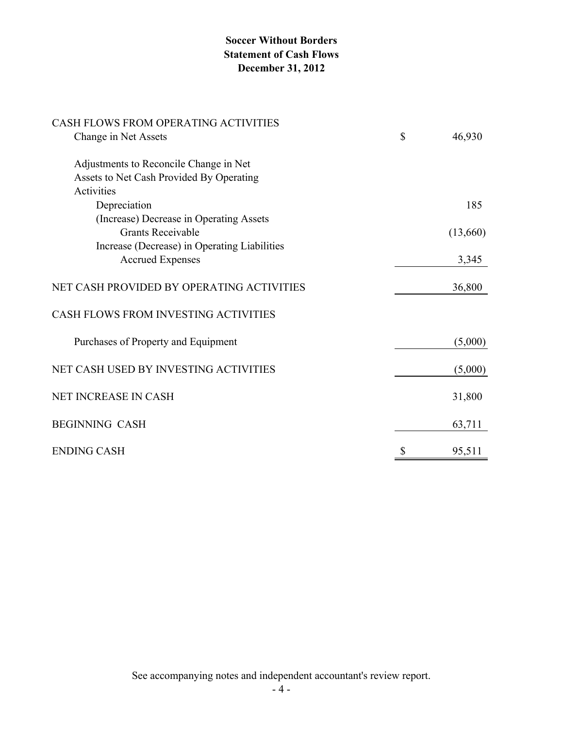# **Soccer Without Borders Statement of Cash Flows December 31, 2012**

| CASH FLOWS FROM OPERATING ACTIVITIES         |              |
|----------------------------------------------|--------------|
| Change in Net Assets                         | \$<br>46,930 |
| Adjustments to Reconcile Change in Net       |              |
| Assets to Net Cash Provided By Operating     |              |
| Activities                                   |              |
| Depreciation                                 | 185          |
| (Increase) Decrease in Operating Assets      |              |
| <b>Grants Receivable</b>                     | (13,660)     |
| Increase (Decrease) in Operating Liabilities |              |
| <b>Accrued Expenses</b>                      | 3,345        |
| NET CASH PROVIDED BY OPERATING ACTIVITIES    | 36,800       |
| CASH FLOWS FROM INVESTING ACTIVITIES         |              |
| Purchases of Property and Equipment          | (5,000)      |
| NET CASH USED BY INVESTING ACTIVITIES        | (5,000)      |
| NET INCREASE IN CASH                         | 31,800       |
| <b>BEGINNING CASH</b>                        | 63,711       |
| <b>ENDING CASH</b>                           | \$<br>95,511 |

See accompanying notes and independent accountant's review report.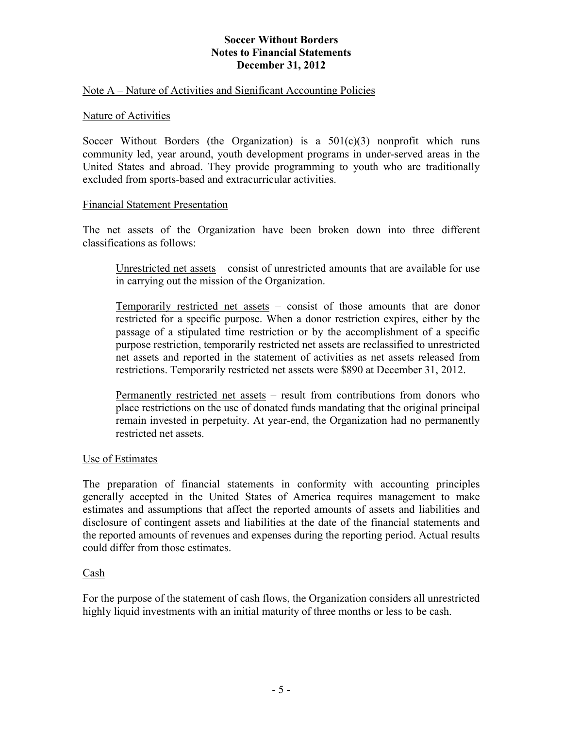## Note A – Nature of Activities and Significant Accounting Policies

#### Nature of Activities

Soccer Without Borders (the Organization) is a  $501(c)(3)$  nonprofit which runs community led, year around, youth development programs in under-served areas in the United States and abroad. They provide programming to youth who are traditionally excluded from sports-based and extracurricular activities.

#### Financial Statement Presentation

The net assets of the Organization have been broken down into three different classifications as follows:

Unrestricted net assets – consist of unrestricted amounts that are available for use in carrying out the mission of the Organization.

Temporarily restricted net assets – consist of those amounts that are donor restricted for a specific purpose. When a donor restriction expires, either by the passage of a stipulated time restriction or by the accomplishment of a specific purpose restriction, temporarily restricted net assets are reclassified to unrestricted net assets and reported in the statement of activities as net assets released from restrictions. Temporarily restricted net assets were \$890 at December 31, 2012.

Permanently restricted net assets – result from contributions from donors who place restrictions on the use of donated funds mandating that the original principal remain invested in perpetuity. At year-end, the Organization had no permanently restricted net assets.

## Use of Estimates

The preparation of financial statements in conformity with accounting principles generally accepted in the United States of America requires management to make estimates and assumptions that affect the reported amounts of assets and liabilities and disclosure of contingent assets and liabilities at the date of the financial statements and the reported amounts of revenues and expenses during the reporting period. Actual results could differ from those estimates.

## Cash

For the purpose of the statement of cash flows, the Organization considers all unrestricted highly liquid investments with an initial maturity of three months or less to be cash.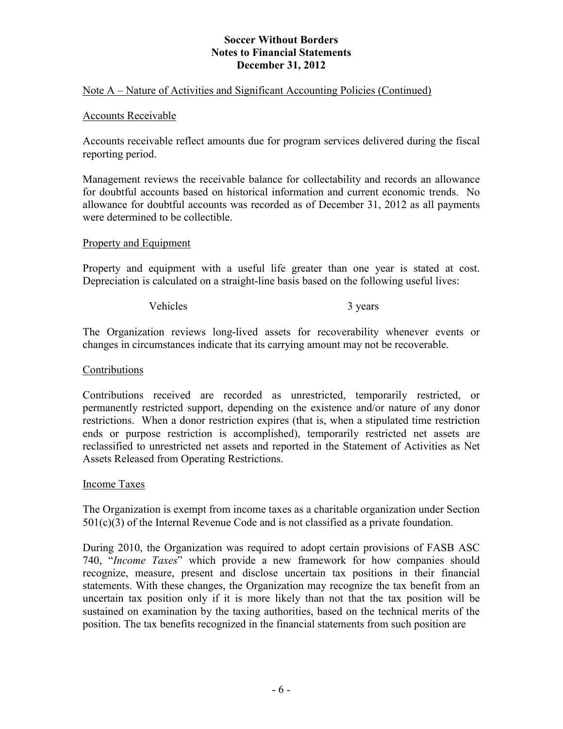## Note A – Nature of Activities and Significant Accounting Policies (Continued)

#### Accounts Receivable

Accounts receivable reflect amounts due for program services delivered during the fiscal reporting period.

Management reviews the receivable balance for collectability and records an allowance for doubtful accounts based on historical information and current economic trends. No allowance for doubtful accounts was recorded as of December 31, 2012 as all payments were determined to be collectible.

#### Property and Equipment

Property and equipment with a useful life greater than one year is stated at cost. Depreciation is calculated on a straight-line basis based on the following useful lives:

Vehicles 3 years 3 years

The Organization reviews long-lived assets for recoverability whenever events or changes in circumstances indicate that its carrying amount may not be recoverable.

#### Contributions

Contributions received are recorded as unrestricted, temporarily restricted, or permanently restricted support, depending on the existence and/or nature of any donor restrictions. When a donor restriction expires (that is, when a stipulated time restriction ends or purpose restriction is accomplished), temporarily restricted net assets are reclassified to unrestricted net assets and reported in the Statement of Activities as Net Assets Released from Operating Restrictions.

## Income Taxes

The Organization is exempt from income taxes as a charitable organization under Section  $501(c)(3)$  of the Internal Revenue Code and is not classified as a private foundation.

During 2010, the Organization was required to adopt certain provisions of FASB ASC 740, "*Income Taxes*" which provide a new framework for how companies should recognize, measure, present and disclose uncertain tax positions in their financial statements. With these changes, the Organization may recognize the tax benefit from an uncertain tax position only if it is more likely than not that the tax position will be sustained on examination by the taxing authorities, based on the technical merits of the position. The tax benefits recognized in the financial statements from such position are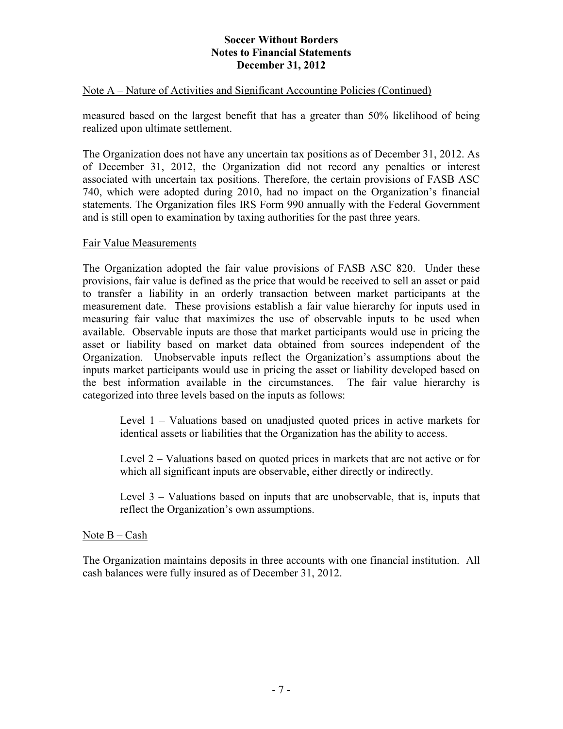## Note A – Nature of Activities and Significant Accounting Policies (Continued)

measured based on the largest benefit that has a greater than 50% likelihood of being realized upon ultimate settlement.

The Organization does not have any uncertain tax positions as of December 31, 2012. As of December 31, 2012, the Organization did not record any penalties or interest associated with uncertain tax positions. Therefore, the certain provisions of FASB ASC 740, which were adopted during 2010, had no impact on the Organization's financial statements. The Organization files IRS Form 990 annually with the Federal Government and is still open to examination by taxing authorities for the past three years.

## Fair Value Measurements

The Organization adopted the fair value provisions of FASB ASC 820. Under these provisions, fair value is defined as the price that would be received to sell an asset or paid to transfer a liability in an orderly transaction between market participants at the measurement date. These provisions establish a fair value hierarchy for inputs used in measuring fair value that maximizes the use of observable inputs to be used when available. Observable inputs are those that market participants would use in pricing the asset or liability based on market data obtained from sources independent of the Organization. Unobservable inputs reflect the Organization's assumptions about the inputs market participants would use in pricing the asset or liability developed based on the best information available in the circumstances. The fair value hierarchy is categorized into three levels based on the inputs as follows:

Level 1 – Valuations based on unadjusted quoted prices in active markets for identical assets or liabilities that the Organization has the ability to access.

Level 2 – Valuations based on quoted prices in markets that are not active or for which all significant inputs are observable, either directly or indirectly.

Level 3 – Valuations based on inputs that are unobservable, that is, inputs that reflect the Organization's own assumptions.

## Note B – Cash

The Organization maintains deposits in three accounts with one financial institution. All cash balances were fully insured as of December 31, 2012.